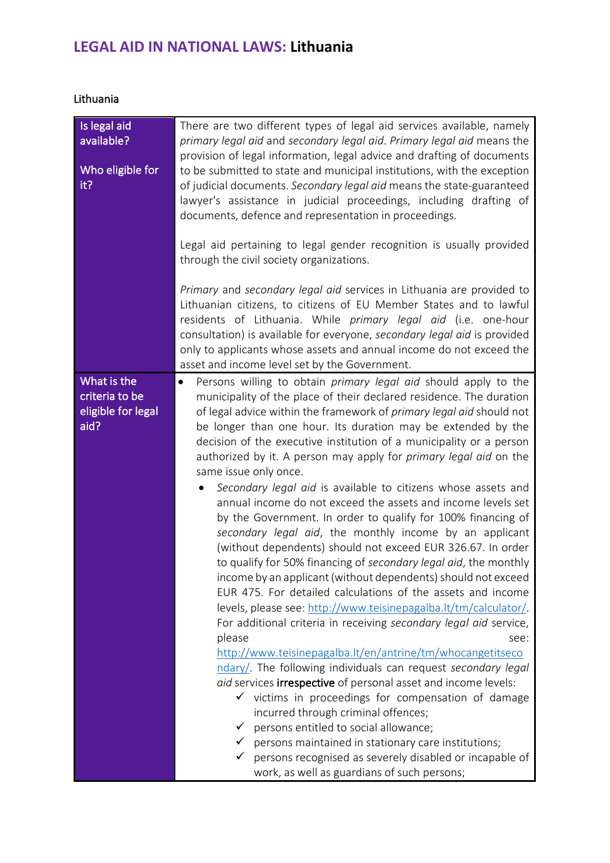## **LEGAL AID IN NATIONAL LAWS: Lithuania**

|  | Lithuania |
|--|-----------|
|  |           |